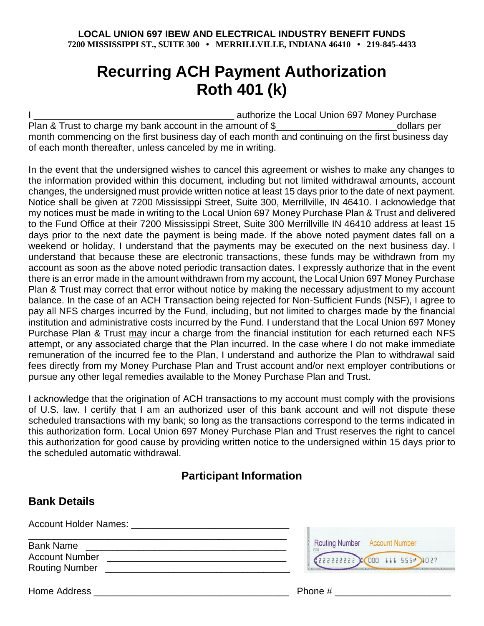## **Recurring ACH Payment Authorization Roth 401 (k)**

I \_\_\_\_\_\_\_\_\_\_\_\_\_\_\_\_\_\_\_\_\_\_\_\_\_\_\_\_\_\_\_\_\_\_\_\_\_\_ authorize the Local Union 697 Money Purchase Plan & Trust to charge my bank account in the amount of \$\_\_\_\_\_\_\_\_\_\_\_\_\_\_\_\_\_\_\_\_\_\_\_\_\_\_\_\_\_\_\_\_\_\_dollars per month commencing on the first business day of each month and continuing on the first business day of each month thereafter, unless canceled by me in writing.

In the event that the undersigned wishes to cancel this agreement or wishes to make any changes to the information provided within this document, including but not limited withdrawal amounts, account changes, the undersigned must provide written notice at least 15 days prior to the date of next payment. Notice shall be given at 7200 Mississippi Street, Suite 300, Merrillville, IN 46410. I acknowledge that my notices must be made in writing to the Local Union 697 Money Purchase Plan & Trust and delivered to the Fund Office at their 7200 Mississippi Street, Suite 300 Merrillville IN 46410 address at least 15 days prior to the next date the payment is being made. If the above noted payment dates fall on a weekend or holiday, I understand that the payments may be executed on the next business day. I understand that because these are electronic transactions, these funds may be withdrawn from my account as soon as the above noted periodic transaction dates. I expressly authorize that in the event there is an error made in the amount withdrawn from my account, the Local Union 697 Money Purchase Plan & Trust may correct that error without notice by making the necessary adjustment to my account balance. In the case of an ACH Transaction being rejected for Non-Sufficient Funds (NSF), I agree to pay all NFS charges incurred by the Fund, including, but not limited to charges made by the financial institution and administrative costs incurred by the Fund. I understand that the Local Union 697 Money Purchase Plan & Trust may incur a charge from the financial institution for each returned each NFS attempt, or any associated charge that the Plan incurred. In the case where I do not make immediate remuneration of the incurred fee to the Plan, I understand and authorize the Plan to withdrawal said fees directly from my Money Purchase Plan and Trust account and/or next employer contributions or pursue any other legal remedies available to the Money Purchase Plan and Trust.

I acknowledge that the origination of ACH transactions to my account must comply with the provisions of U.S. law. I certify that I am an authorized user of this bank account and will not dispute these scheduled transactions with my bank; so long as the transactions correspond to the terms indicated in this authorization form. Local Union 697 Money Purchase Plan and Trust reserves the right to cancel this authorization for good cause by providing written notice to the undersigned within 15 days prior to the scheduled automatic withdrawal.

## **Participant Information**

**Bank Details** 

| <b>Account Holder Names:</b>                                       |                                                                                          |
|--------------------------------------------------------------------|------------------------------------------------------------------------------------------|
| <b>Bank Name</b><br><b>Account Number</b><br><b>Routing Number</b> | Routing Number Account Number<br>(222222222): 000 111 555 1027<br><b>THE R. P. LEWIS</b> |
| Home Address                                                       | Phone #                                                                                  |